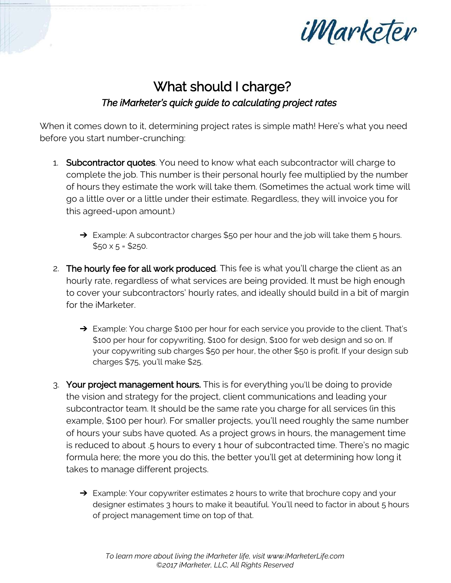

## What should I charge? *The iMarketer's quick guide to calculating project rates*

When it comes down to it, determining project rates is simple math! Here's what you need before you start number-crunching:

- 1. Subcontractor quotes. You need to know what each subcontractor will charge to complete the job. This number is their personal hourly fee multiplied by the number of hours they estimate the work will take them. (Sometimes the actual work time will go a little over or a little under their estimate. Regardless, they will invoice you for this agreed-upon amount.)
	- $\rightarrow$  Example: A subcontractor charges \$50 per hour and the job will take them 5 hours.  $$50 \times 5 = $250$ .
- 2. The hourly fee for all work produced. This fee is what you'll charge the client as an hourly rate, regardless of what services are being provided. It must be high enough to cover your subcontractors' hourly rates, and ideally should build in a bit of margin for the iMarketer.
	- → Example: You charge \$100 per hour for each service you provide to the client. That's \$100 per hour for copywriting, \$100 for design, \$100 for web design and so on. If your copywriting sub charges \$50 per hour, the other \$50 is profit. If your design sub charges \$75, you'll make \$25.
- 3. Your project management hours. This is for everything you'll be doing to provide the vision and strategy for the project, client communications and leading your subcontractor team. It should be the same rate you charge for all services (in this example, \$100 per hour). For smaller projects, you'll need roughly the same number of hours your subs have quoted. As a project grows in hours, the management time is reduced to about .5 hours to every 1 hour of subcontracted time. There's no magic formula here; the more you do this, the better you'll get at determining how long it takes to manage different projects.
	- ➔ Example: Your copywriter estimates 2 hours to write that brochure copy and your designer estimates 3 hours to make it beautiful. You'll need to factor in about 5 hours of project management time on top of that.